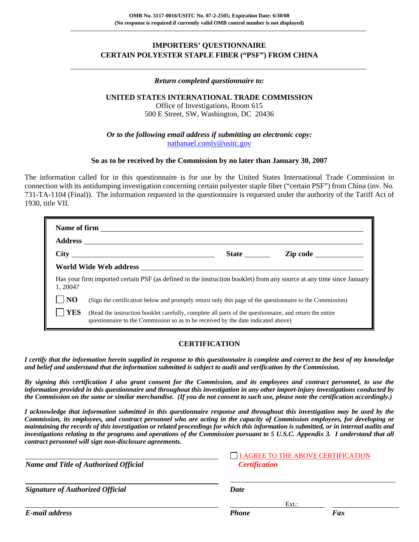## **IMPORTERS' QUESTIONNAIRE CERTAIN POLYESTER STAPLE FIBER ("PSF") FROM CHINA**

#### *Return completed questionnaire to:*

## **UNITED STATES INTERNATIONAL TRADE COMMISSION**

Office of Investigations, Room 615 500 E Street, SW, Washington, DC 20436

*Or to the following email address if submitting an electronic copy:* nathanael.comly@usitc.gov

#### **So as to be received by the Commission by no later than January 30, 2007**

The information called for in this questionnaire is for use by the United States International Trade Commission in connection with its antidumping investigation concerning certain polyester staple fiber ("certain PSF") from China (inv. No. 731-TA-1104 (Final)). The information requested in the questionnaire is requested under the authority of the Tariff Act of 1930, title VII.

|                        | <b>Name of firm</b>                                                                                                                                                                          |              |                 |  |  |  |
|------------------------|----------------------------------------------------------------------------------------------------------------------------------------------------------------------------------------------|--------------|-----------------|--|--|--|
|                        |                                                                                                                                                                                              |              |                 |  |  |  |
|                        | City                                                                                                                                                                                         | <b>State</b> | <b>Zip code</b> |  |  |  |
|                        |                                                                                                                                                                                              |              |                 |  |  |  |
| 1.2004?                | Has your firm imported certain PSF (as defined in the instruction booklet) from any source at any time since January                                                                         |              |                 |  |  |  |
| $\overline{\rm\bf NO}$ | (Sign the certification below and promptly return only this page of the questionnaire to the Commission)                                                                                     |              |                 |  |  |  |
| <b>YES</b>             | (Read the instruction booklet carefully, complete all parts of the questionnaire, and return the entire<br>questionnaire to the Commission so as to be received by the date indicated above) |              |                 |  |  |  |

### **CERTIFICATION**

*I certify that the information herein supplied in response to this questionnaire is complete and correct to the best of my knowledge and belief and understand that the information submitted is subject to audit and verification by the Commission.* 

*By signing this certification I also grant consent for the Commission, and its employees and contract personnel, to use the information provided in this questionnaire and throughout this investigation in any other import-injury investigations conducted by the Commission on the same or similar merchandise. (If you do not consent to such use, please note the certification accordingly.)* 

*I acknowledge that information submitted in this questionnaire response and throughout this investigation may be used by the Commission, its employees, and contract personnel who are acting in the capacity of Commission employees, for developing or maintaining the records of this investigation or related proceedings for which this information is submitted, or in internal audits and investigations relating to the programs and operations of the Commission pursuant to 5 U.S.C. Appendix 3. I understand that all contract personnel will sign non-disclosure agreements.*

| <b>Name and Title of Authorized Official</b> | <b>Certification</b> | I AGREE TO THE ABOVE CERTIFICATION |  |  |  |
|----------------------------------------------|----------------------|------------------------------------|--|--|--|
| <b>Signature of Authorized Official</b>      | Date                 |                                    |  |  |  |
|                                              |                      | $Ext.$ :                           |  |  |  |
| E-mail address                               | <b>Phone</b>         | Fax                                |  |  |  |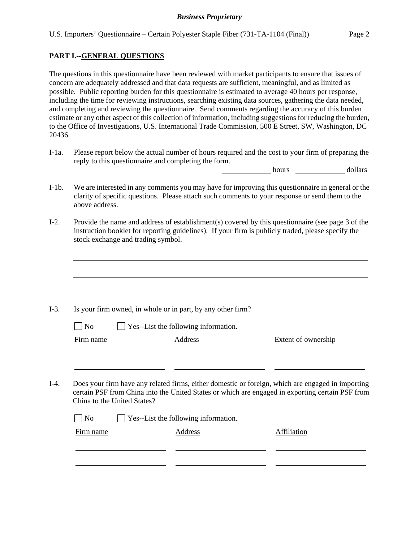## **PART I.--GENERAL QUESTIONS**

 $\overline{a}$ 

The questions in this questionnaire have been reviewed with market participants to ensure that issues of concern are adequately addressed and that data requests are sufficient, meaningful, and as limited as possible. Public reporting burden for this questionnaire is estimated to average 40 hours per response, including the time for reviewing instructions, searching existing data sources, gathering the data needed, and completing and reviewing the questionnaire. Send comments regarding the accuracy of this burden estimate or any other aspect of this collection of information, including suggestions for reducing the burden, to the Office of Investigations, U.S. International Trade Commission, 500 E Street, SW, Washington, DC 20436.

I-1a. Please report below the actual number of hours required and the cost to your firm of preparing the reply to this questionnaire and completing the form.

hours dollars

- I-1b. We are interested in any comments you may have for improving this questionnaire in general or the clarity of specific questions. Please attach such comments to your response or send them to the above address.
- I-2. Provide the name and address of establishment(s) covered by this questionnaire (see page 3 of the instruction booklet for reporting guidelines). If your firm is publicly traded, please specify the stock exchange and trading symbol.

|                                               | Is your firm owned, in whole or in part, by any other firm?                                                                                                                                           |                            |
|-----------------------------------------------|-------------------------------------------------------------------------------------------------------------------------------------------------------------------------------------------------------|----------------------------|
| N <sub>0</sub>                                | Yes--List the following information.                                                                                                                                                                  |                            |
| Firm name                                     | Address                                                                                                                                                                                               | <b>Extent of ownership</b> |
|                                               |                                                                                                                                                                                                       |                            |
|                                               | Does your firm have any related firms, either domestic or foreign, which are engaged in importing<br>certain PSF from China into the United States or which are engaged in exporting certain PSF from |                            |
| China to the United States?<br>N <sub>o</sub> | Yes--List the following information.                                                                                                                                                                  |                            |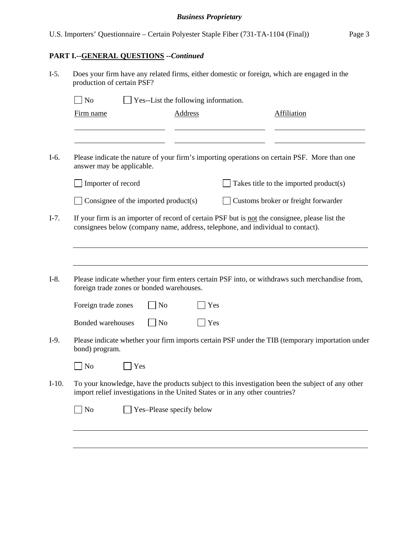# **PART I.--GENERAL QUESTIONS --***Continued*

| N <sub>o</sub>      |                           | Yes--List the following information.                                         |     |                                                                                                                                                                                   |
|---------------------|---------------------------|------------------------------------------------------------------------------|-----|-----------------------------------------------------------------------------------------------------------------------------------------------------------------------------------|
| Firm name           |                           | Address                                                                      |     | Affiliation                                                                                                                                                                       |
|                     | answer may be applicable. |                                                                              |     | Please indicate the nature of your firm's importing operations on certain PSF. More than one                                                                                      |
|                     | Importer of record        |                                                                              |     | Takes title to the imported product(s)                                                                                                                                            |
|                     |                           | Consignee of the imported product(s)                                         |     | Customs broker or freight forwarder                                                                                                                                               |
|                     |                           |                                                                              |     |                                                                                                                                                                                   |
|                     |                           |                                                                              |     | If your firm is an importer of record of certain PSF but is not the consignee, please list the<br>consignees below (company name, address, telephone, and individual to contact). |
| Foreign trade zones |                           | foreign trade zones or bonded warehouses.<br>N <sub>o</sub>                  | Yes |                                                                                                                                                                                   |
| Bonded warehouses   |                           | N <sub>o</sub>                                                               | Yes | Please indicate whether your firm enters certain PSF into, or withdraws such merchandise from,                                                                                    |
| bond) program.      |                           |                                                                              |     |                                                                                                                                                                                   |
| N <sub>o</sub>      | Yes                       |                                                                              |     | Please indicate whether your firm imports certain PSF under the TIB (temporary importation under                                                                                  |
|                     |                           | import relief investigations in the United States or in any other countries? |     | To your knowledge, have the products subject to this investigation been the subject of any other                                                                                  |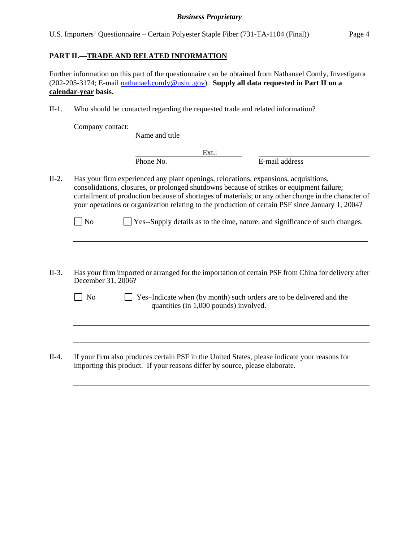U.S. Importers' Questionnaire – Certain Polyester Staple Fiber (731-TA-1104 (Final)) Page 4

## **PART II.—TRADE AND RELATED INFORMATION**

 $\overline{a}$ 

Further information on this part of the questionnaire can be obtained from Nathanael Comly, Investigator (202-205-3174; E-mail nathanael.comly@usitc.gov). **Supply all data requested in Part II on a calendar-year basis.**

II-1. Who should be contacted regarding the requested trade and related information?

|                    | Company contact: |                                                                                                                                                                                                                                                                                                                                                                                               |
|--------------------|------------------|-----------------------------------------------------------------------------------------------------------------------------------------------------------------------------------------------------------------------------------------------------------------------------------------------------------------------------------------------------------------------------------------------|
|                    | Name and title   |                                                                                                                                                                                                                                                                                                                                                                                               |
|                    |                  | Ext.:                                                                                                                                                                                                                                                                                                                                                                                         |
|                    | Phone No.        | E-mail address                                                                                                                                                                                                                                                                                                                                                                                |
|                    |                  | Has your firm experienced any plant openings, relocations, expansions, acquisitions,<br>consolidations, closures, or prolonged shutdowns because of strikes or equipment failure;<br>curtailment of production because of shortages of materials; or any other change in the character of<br>your operations or organization relating to the production of certain PSF since January 1, 2004? |
| <b>No</b>          |                  | Yes--Supply details as to the time, nature, and significance of such changes.                                                                                                                                                                                                                                                                                                                 |
|                    |                  |                                                                                                                                                                                                                                                                                                                                                                                               |
| December 31, 2006? |                  | Has your firm imported or arranged for the importation of certain PSF from China for delivery after                                                                                                                                                                                                                                                                                           |
| N <sub>o</sub>     |                  | Yes-Indicate when (by month) such orders are to be delivered and the                                                                                                                                                                                                                                                                                                                          |
|                    |                  | quantities (in 1,000 pounds) involved.                                                                                                                                                                                                                                                                                                                                                        |
|                    |                  |                                                                                                                                                                                                                                                                                                                                                                                               |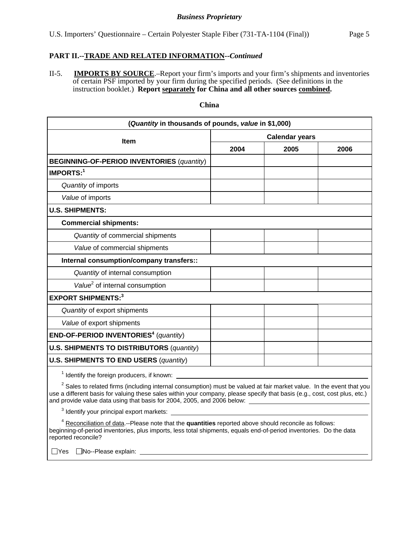## **PART II.--TRADE AND RELATED INFORMATION--***Continued*

II-5. **IMPORTS BY SOURCE**.–Report your firm's imports and your firm's shipments and inventories of certain PSF imported by your firm during the specified periods. (See definitions in the instruction booklet.) **Report separately for China and all other sources combined.** 

#### **China**

| (Quantity in thousands of pounds, value in \$1,000)                                                                             |      |                       |      |
|---------------------------------------------------------------------------------------------------------------------------------|------|-----------------------|------|
| <b>Item</b>                                                                                                                     |      | <b>Calendar years</b> |      |
|                                                                                                                                 | 2004 | 2005                  | 2006 |
| <b>BEGINNING-OF-PERIOD INVENTORIES (quantity)</b>                                                                               |      |                       |      |
| <b>IMPORTS:1</b>                                                                                                                |      |                       |      |
| Quantity of imports                                                                                                             |      |                       |      |
| Value of imports                                                                                                                |      |                       |      |
| <b>U.S. SHIPMENTS:</b>                                                                                                          |      |                       |      |
| <b>Commercial shipments:</b>                                                                                                    |      |                       |      |
| Quantity of commercial shipments                                                                                                |      |                       |      |
| Value of commercial shipments                                                                                                   |      |                       |      |
| Internal consumption/company transfers::                                                                                        |      |                       |      |
| Quantity of internal consumption                                                                                                |      |                       |      |
| Value <sup>2</sup> of internal consumption                                                                                      |      |                       |      |
| <b>EXPORT SHIPMENTS:3</b>                                                                                                       |      |                       |      |
| Quantity of export shipments                                                                                                    |      |                       |      |
| Value of export shipments                                                                                                       |      |                       |      |
| END-OF-PERIOD INVENTORIES <sup>4</sup> (quantity)                                                                               |      |                       |      |
| <b>U.S. SHIPMENTS TO DISTRIBUTORS (quantity)</b>                                                                                |      |                       |      |
| <b>U.S. SHIPMENTS TO END USERS (quantity)</b>                                                                                   |      |                       |      |
| <sup>1</sup> Identify the foreign producers, if known:                                                                          |      |                       |      |
| <sup>2</sup> Sales to related firms (including internal consumption) must be valued at fair market value. In the event that you |      |                       |      |

use a different basis for valuing these sales within your company, please specify that basis (e.g., cost, cost plus, etc.) and provide value data using that basis for 2004, 2005, and 2006 below:

 $3$  Identify your principal export markets:

4 Reconciliation of data.--Please note that the **quantities** reported above should reconcile as follows: beginning-of-period inventories, plus imports, less total shipments, equals end-of-period inventories. Do the data reported reconcile?

□Yes □No--Please explain: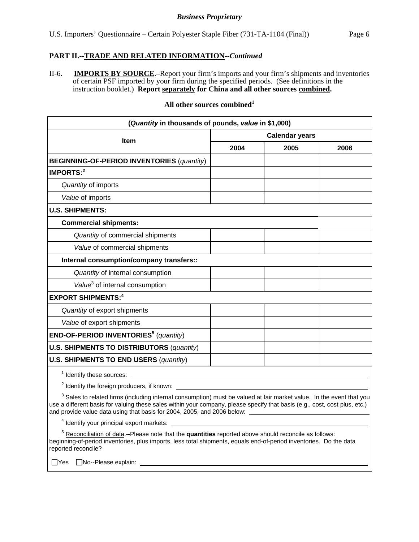## **PART II.--TRADE AND RELATED INFORMATION--***Continued*

II-6. **IMPORTS BY SOURCE**.–Report your firm's imports and your firm's shipments and inventories of certain PSF imported by your firm during the specified periods. (See definitions in the instruction booklet.) **Report separately for China and all other sources combined.**

### **All other sources combined<sup>1</sup>**

| (Quantity in thousands of pounds, value in \$1,000)                                                                                                                                                                                                                                                                                      |      |                       |      |
|------------------------------------------------------------------------------------------------------------------------------------------------------------------------------------------------------------------------------------------------------------------------------------------------------------------------------------------|------|-----------------------|------|
|                                                                                                                                                                                                                                                                                                                                          |      | <b>Calendar years</b> |      |
| <b>Item</b>                                                                                                                                                                                                                                                                                                                              | 2004 | 2005                  | 2006 |
| <b>BEGINNING-OF-PERIOD INVENTORIES (quantity)</b>                                                                                                                                                                                                                                                                                        |      |                       |      |
| IMPORTS: <sup>2</sup>                                                                                                                                                                                                                                                                                                                    |      |                       |      |
| Quantity of imports                                                                                                                                                                                                                                                                                                                      |      |                       |      |
| Value of imports                                                                                                                                                                                                                                                                                                                         |      |                       |      |
| <b>U.S. SHIPMENTS:</b>                                                                                                                                                                                                                                                                                                                   |      |                       |      |
| <b>Commercial shipments:</b>                                                                                                                                                                                                                                                                                                             |      |                       |      |
| Quantity of commercial shipments                                                                                                                                                                                                                                                                                                         |      |                       |      |
| Value of commercial shipments                                                                                                                                                                                                                                                                                                            |      |                       |      |
| Internal consumption/company transfers::                                                                                                                                                                                                                                                                                                 |      |                       |      |
| Quantity of internal consumption                                                                                                                                                                                                                                                                                                         |      |                       |      |
| Value <sup>3</sup> of internal consumption                                                                                                                                                                                                                                                                                               |      |                       |      |
| <b>EXPORT SHIPMENTS:4</b>                                                                                                                                                                                                                                                                                                                |      |                       |      |
| Quantity of export shipments                                                                                                                                                                                                                                                                                                             |      |                       |      |
| Value of export shipments                                                                                                                                                                                                                                                                                                                |      |                       |      |
| END-OF-PERIOD INVENTORIES <sup>5</sup> (quantity)                                                                                                                                                                                                                                                                                        |      |                       |      |
| <b>U.S. SHIPMENTS TO DISTRIBUTORS (quantity)</b>                                                                                                                                                                                                                                                                                         |      |                       |      |
| <b>U.S. SHIPMENTS TO END USERS (quantity)</b>                                                                                                                                                                                                                                                                                            |      |                       |      |
|                                                                                                                                                                                                                                                                                                                                          |      |                       |      |
| <sup>2</sup> Identify the foreign producers, if known:                                                                                                                                                                                                                                                                                   |      |                       |      |
| <sup>3</sup> Sales to related firms (including internal consumption) must be valued at fair market value. In the event that you<br>use a different basis for valuing these sales within your company, please specify that basis (e.g., cost, cost plus, etc.)<br>and provide value data using that basis for 2004, 2005, and 2006 below: |      |                       |      |
| <sup>4</sup> Identify your principal export markets:                                                                                                                                                                                                                                                                                     |      |                       |      |

<sup>5</sup> Reconciliation of data.--Please note that the **quantities** reported above should reconcile as follows: beginning-of-period inventories, plus imports, less total shipments, equals end-of-period inventories. Do the data reported reconcile?

□Yes □No--Please explain: \_\_\_\_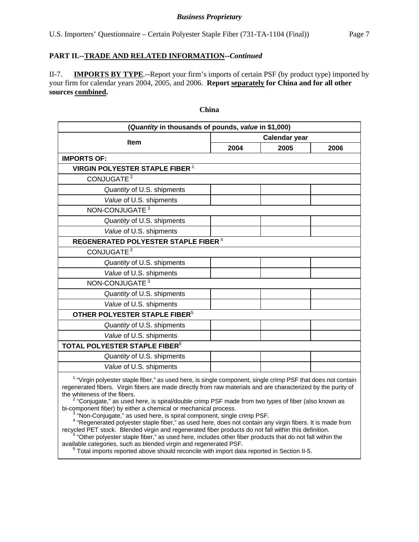## **PART II.--TRADE AND RELATED INFORMATION--***Continued*

II-7. **IMPORTS BY TYPE**.--Report your firm's imports of certain PSF (by product type) imported by your firm for calendar years 2004, 2005, and 2006. **Report separately for China and for all other sources combined.**

# **(***Quantity* **in thousands of pounds,** *value* **in \$1,000) Item Calendar year Calendar year 2004 2005 2006 IMPORTS OF: VIRGIN POLYESTER STAPLE FIBER<sup>1</sup> CONJUGATE<sup>2</sup>**  *Quantity* of U.S. shipments  *Value* of U.S. shipments NON-CONJUGATE<sup>3</sup>  *Quantity* of U.S. shipments  *Value* of U.S. shipments  **REGENERATED POLYESTER STAPLE FIBER**<sup>4</sup> **CONJUGATE<sup>2</sup>**  *Quantity* of U.S. shipments  *Value* of U.S. shipments NON-CONJUGATE<sup>3</sup>  *Quantity* of U.S. shipments  *Value* of U.S. shipments  **OTHER POLYESTER STAPLE FIBER**<sup>5</sup>  *Quantity* of U.S. shipments  *Value* of U.S. shipments **TOTAL POLYESTER STAPLE FIBER**<sup>6</sup>  *Quantity* of U.S. shipments  *Value* of U.S. shipments

**China** 

<sup>1</sup> "Virgin polyester staple fiber," as used here, is single component, single crimp PSF that does not contain regenerated fibers. Virgin fibers are made directly from raw materials and are characterized by the purity of the whiteness of the fibers.

<sup>2</sup> "Coniugate," as used here, is spiral/double crimp PSF made from two types of fiber (also known as bi-component fiber) by either a chemical or mechanical process.

 $3$  "Non-Conjugate," as used here, is spiral component, single crimp PSF.

"Regenerated polyester staple fiber," as used here, does not contain any virgin fibers. It is made from recycled PET stock. Blended virgin and regenerated fiber products do not fall within this definition. 5

 $5$  "Other polyester staple fiber," as used here, includes other fiber products that do not fall within the available categories, such as blended virgin and regenerated PSF. 6

 $6$  Total imports reported above should reconcile with import data reported in Section II-5.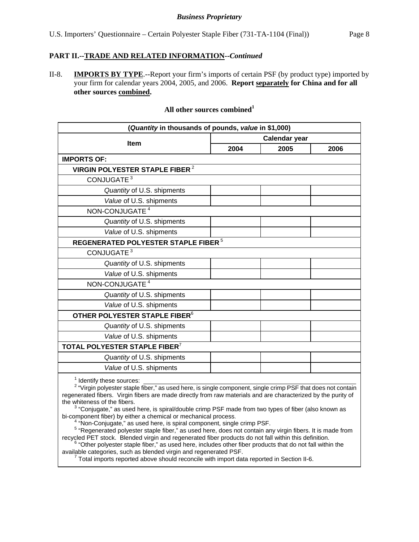## **PART II.--TRADE AND RELATED INFORMATION--***Continued*

II-8. **IMPORTS BY TYPE**.--Report your firm's imports of certain PSF (by product type) imported by your firm for calendar years 2004, 2005, and 2006. **Report separately for China and for all other sources combined.**

## **All other sources combined<sup>1</sup>**

| (Quantity in thousands of pounds, value in \$1,000)                                                                                                                                                                                                                                                                                                                                                                                                                                                                                                                                                                                                                                                                                                                                                                                   |      |                      |      |  |  |  |
|---------------------------------------------------------------------------------------------------------------------------------------------------------------------------------------------------------------------------------------------------------------------------------------------------------------------------------------------------------------------------------------------------------------------------------------------------------------------------------------------------------------------------------------------------------------------------------------------------------------------------------------------------------------------------------------------------------------------------------------------------------------------------------------------------------------------------------------|------|----------------------|------|--|--|--|
|                                                                                                                                                                                                                                                                                                                                                                                                                                                                                                                                                                                                                                                                                                                                                                                                                                       |      | <b>Calendar year</b> |      |  |  |  |
| Item                                                                                                                                                                                                                                                                                                                                                                                                                                                                                                                                                                                                                                                                                                                                                                                                                                  | 2004 | 2005                 | 2006 |  |  |  |
| <b>IMPORTS OF:</b>                                                                                                                                                                                                                                                                                                                                                                                                                                                                                                                                                                                                                                                                                                                                                                                                                    |      |                      |      |  |  |  |
| <b>VIRGIN POLYESTER STAPLE FIBER<sup>2</sup></b>                                                                                                                                                                                                                                                                                                                                                                                                                                                                                                                                                                                                                                                                                                                                                                                      |      |                      |      |  |  |  |
| CONJUGATE <sup>3</sup>                                                                                                                                                                                                                                                                                                                                                                                                                                                                                                                                                                                                                                                                                                                                                                                                                |      |                      |      |  |  |  |
| Quantity of U.S. shipments                                                                                                                                                                                                                                                                                                                                                                                                                                                                                                                                                                                                                                                                                                                                                                                                            |      |                      |      |  |  |  |
| Value of U.S. shipments                                                                                                                                                                                                                                                                                                                                                                                                                                                                                                                                                                                                                                                                                                                                                                                                               |      |                      |      |  |  |  |
| NON-CONJUGATE <sup>4</sup>                                                                                                                                                                                                                                                                                                                                                                                                                                                                                                                                                                                                                                                                                                                                                                                                            |      |                      |      |  |  |  |
| Quantity of U.S. shipments                                                                                                                                                                                                                                                                                                                                                                                                                                                                                                                                                                                                                                                                                                                                                                                                            |      |                      |      |  |  |  |
| Value of U.S. shipments                                                                                                                                                                                                                                                                                                                                                                                                                                                                                                                                                                                                                                                                                                                                                                                                               |      |                      |      |  |  |  |
| REGENERATED POLYESTER STAPLE FIBER $^5$                                                                                                                                                                                                                                                                                                                                                                                                                                                                                                                                                                                                                                                                                                                                                                                               |      |                      |      |  |  |  |
| CONJUGATE <sup>3</sup>                                                                                                                                                                                                                                                                                                                                                                                                                                                                                                                                                                                                                                                                                                                                                                                                                |      |                      |      |  |  |  |
| Quantity of U.S. shipments                                                                                                                                                                                                                                                                                                                                                                                                                                                                                                                                                                                                                                                                                                                                                                                                            |      |                      |      |  |  |  |
| Value of U.S. shipments                                                                                                                                                                                                                                                                                                                                                                                                                                                                                                                                                                                                                                                                                                                                                                                                               |      |                      |      |  |  |  |
| NON-CONJUGATE <sup>4</sup>                                                                                                                                                                                                                                                                                                                                                                                                                                                                                                                                                                                                                                                                                                                                                                                                            |      |                      |      |  |  |  |
| Quantity of U.S. shipments                                                                                                                                                                                                                                                                                                                                                                                                                                                                                                                                                                                                                                                                                                                                                                                                            |      |                      |      |  |  |  |
| Value of U.S. shipments                                                                                                                                                                                                                                                                                                                                                                                                                                                                                                                                                                                                                                                                                                                                                                                                               |      |                      |      |  |  |  |
| OTHER POLYESTER STAPLE FIBER <sup>6</sup>                                                                                                                                                                                                                                                                                                                                                                                                                                                                                                                                                                                                                                                                                                                                                                                             |      |                      |      |  |  |  |
| Quantity of U.S. shipments                                                                                                                                                                                                                                                                                                                                                                                                                                                                                                                                                                                                                                                                                                                                                                                                            |      |                      |      |  |  |  |
| Value of U.S. shipments                                                                                                                                                                                                                                                                                                                                                                                                                                                                                                                                                                                                                                                                                                                                                                                                               |      |                      |      |  |  |  |
| TOTAL POLYESTER STAPLE FIBER <sup>7</sup>                                                                                                                                                                                                                                                                                                                                                                                                                                                                                                                                                                                                                                                                                                                                                                                             |      |                      |      |  |  |  |
| Quantity of U.S. shipments                                                                                                                                                                                                                                                                                                                                                                                                                                                                                                                                                                                                                                                                                                                                                                                                            |      |                      |      |  |  |  |
| Value of U.S. shipments                                                                                                                                                                                                                                                                                                                                                                                                                                                                                                                                                                                                                                                                                                                                                                                                               |      |                      |      |  |  |  |
| <sup>1</sup> Identify these sources:<br><sup>2</sup> "Virgin polyester staple fiber," as used here, is single component, single crimp PSF that does not contain<br>regenerated fibers. Virgin fibers are made directly from raw materials and are characterized by the purity of<br>the whiteness of the fibers.<br><sup>3</sup> "Conjugate," as used here, is spiral/double crimp PSF made from two types of fiber (also known as<br>bi-component fiber) by either a chemical or mechanical process.<br><sup>4</sup> "Non-Conjugate," as used here, is spiral component, single crimp PSF.<br><sup>5</sup> "Regenerated polyester staple fiber," as used here, does not contain any virgin fibers. It is made from<br>Le di DET eta de la Diametria diversa su diversa contrat file en mus divete de met fall within this definition |      |                      |      |  |  |  |

recycled PET stock. Blended virgin and regenerated fiber products do not fall within this definition.<br><sup>6</sup> "Other polyester staple fiber," as used here, includes other fiber products that do not fall within the

available categories, such as blended virgin and regenerated PSF.<br><sup>7</sup> Total imports reported above should reconcile with import data reported in Section II-6.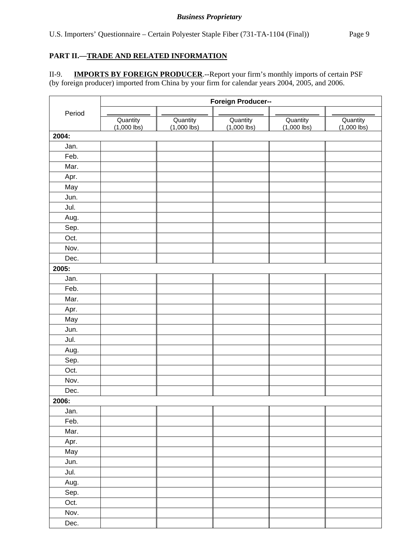## **PART II.—TRADE AND RELATED INFORMATION**

II-9. **IMPORTS BY FOREIGN PRODUCER**.--Report your firm's monthly imports of certain PSF (by foreign producer) imported from China by your firm for calendar years 2004, 2005, and 2006.

|        | Foreign Producer--      |                         |                         |                         |                         |  |  |  |  |
|--------|-------------------------|-------------------------|-------------------------|-------------------------|-------------------------|--|--|--|--|
| Period |                         |                         |                         |                         |                         |  |  |  |  |
|        | Quantity<br>(1,000 lbs) | Quantity<br>(1,000 lbs) | Quantity<br>(1,000 lbs) | Quantity<br>(1,000 lbs) | Quantity<br>(1,000 lbs) |  |  |  |  |
| 2004:  |                         |                         |                         |                         |                         |  |  |  |  |
| Jan.   |                         |                         |                         |                         |                         |  |  |  |  |
| Feb.   |                         |                         |                         |                         |                         |  |  |  |  |
| Mar.   |                         |                         |                         |                         |                         |  |  |  |  |
| Apr.   |                         |                         |                         |                         |                         |  |  |  |  |
| May    |                         |                         |                         |                         |                         |  |  |  |  |
| Jun.   |                         |                         |                         |                         |                         |  |  |  |  |
| Jul.   |                         |                         |                         |                         |                         |  |  |  |  |
| Aug.   |                         |                         |                         |                         |                         |  |  |  |  |
| Sep.   |                         |                         |                         |                         |                         |  |  |  |  |
| Oct.   |                         |                         |                         |                         |                         |  |  |  |  |
| Nov.   |                         |                         |                         |                         |                         |  |  |  |  |
| Dec.   |                         |                         |                         |                         |                         |  |  |  |  |
| 2005:  |                         |                         |                         |                         |                         |  |  |  |  |
| Jan.   |                         |                         |                         |                         |                         |  |  |  |  |
| Feb.   |                         |                         |                         |                         |                         |  |  |  |  |
| Mar.   |                         |                         |                         |                         |                         |  |  |  |  |
| Apr.   |                         |                         |                         |                         |                         |  |  |  |  |
| May    |                         |                         |                         |                         |                         |  |  |  |  |
| Jun.   |                         |                         |                         |                         |                         |  |  |  |  |
| Jul.   |                         |                         |                         |                         |                         |  |  |  |  |
| Aug.   |                         |                         |                         |                         |                         |  |  |  |  |
| Sep.   |                         |                         |                         |                         |                         |  |  |  |  |
| Oct.   |                         |                         |                         |                         |                         |  |  |  |  |
| Nov.   |                         |                         |                         |                         |                         |  |  |  |  |
| Dec.   |                         |                         |                         |                         |                         |  |  |  |  |
| 2006:  |                         |                         |                         |                         |                         |  |  |  |  |
| Jan.   |                         |                         |                         |                         |                         |  |  |  |  |
| Feb.   |                         |                         |                         |                         |                         |  |  |  |  |
| Mar.   |                         |                         |                         |                         |                         |  |  |  |  |
| Apr.   |                         |                         |                         |                         |                         |  |  |  |  |
| May    |                         |                         |                         |                         |                         |  |  |  |  |
| Jun.   |                         |                         |                         |                         |                         |  |  |  |  |
| Jul.   |                         |                         |                         |                         |                         |  |  |  |  |
| Aug.   |                         |                         |                         |                         |                         |  |  |  |  |
| Sep.   |                         |                         |                         |                         |                         |  |  |  |  |
| Oct.   |                         |                         |                         |                         |                         |  |  |  |  |
| Nov.   |                         |                         |                         |                         |                         |  |  |  |  |
| Dec.   |                         |                         |                         |                         |                         |  |  |  |  |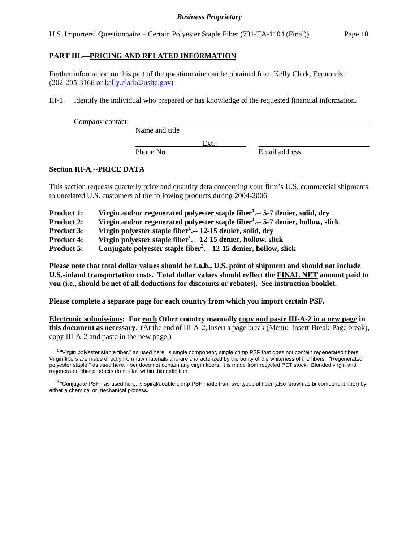U.S. Importers' Questionnaire – Certain Polyester Staple Fiber (731-TA-1104 (Final)) Page 10

## **PART III.—PRICING AND RELATED INFORMATION**

Further information on this part of the questionnaire can be obtained from Kelly Clark, Economist (202-205-3166 or kelly.clark@usitc.gov)

III-1. Identify the individual who prepared or has knowledge of the requested financial information.

Company contact:

Name and title

Phone No. **Email address** 

## **Section III-A.--PRICE DATA**

This section requests quarterly price and quantity data concerning your firm's U.S. commercial shipments to unrelated U.S. customers of the following products during 2004-2006:

Ext.:

| <b>Product 1:</b> | Virgin and/or regenerated polyester staple fiber <sup>1</sup> $\cdot$ -- 5-7 denier, solid, dry |  |  |
|-------------------|-------------------------------------------------------------------------------------------------|--|--|
|                   |                                                                                                 |  |  |

- Product 2: Virgin and/or regenerated polyester staple fiber<sup>1</sup>.-- 5-7 denier, hollow, slick
- Product 3: Virgin polyester staple fiber<sup>1</sup>. -- 12-15 denier, solid, dry

**Product 4: Virgin polyester staple fiber1 .-- 12-15 denier, hollow, slick** 

**Product 5: Conjugate polyester staple fiber<sup>2</sup> .-- 12-15 denier, hollow, slick** 

**Please note that total dollar values should be f.o.b., U.S. point of shipment and should not include U.S.-inland transportation costs. Total dollar values should reflect the FINAL NET amount paid to you (i.e., should be net of all deductions for discounts or rebates). See instruction booklet.** 

**Please complete a separate page for each country from which you import certain PSF.** 

**Electronic submissions: For each Other country manually copy and paste III-A-2 in a new page in this document as necessary.** (At the end of III-A-2, insert a page break (Menu: Insert-Break-Page break), copy III-A-2 and paste in the new page.)

<sup>1</sup> "Virgin polyester staple fiber," as used here, is single component, single crimp PSF that does not contain regenerated fibers. Virgin fibers are made directly from raw materials and are characterized by the purity of the whiteness of the fibers. "Regenerated polyester staple," as used here, fiber does not contain any virgin fibers. It is made from recycled PET stock. Blended virgin and regenerated fiber products do not fall within this definition

<sup>2</sup> "Conjugate PSF," as used here, is spiral/double crimp PSF made from two types of fiber (also known as bi-component fiber) by either a chemical or mechanical process.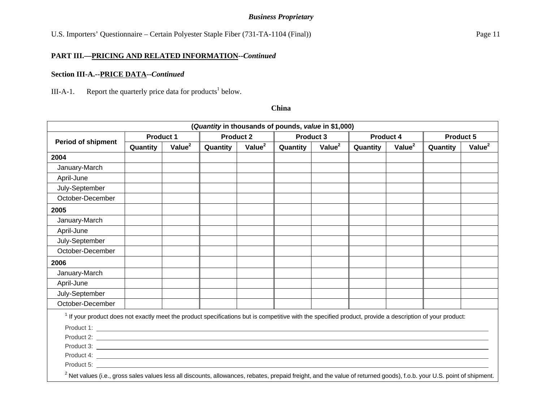U.S. Importers' Questionnaire – Certain Polyester Staple Fiber (731-TA-1104 (Final)) Page 11

#### **PART III.—PRICING AND RELATED INFORMATION--***Continued*

#### **Section III-A.--PRICE DATA--***Continued*

III-A-1. Report the quarterly price data for products<sup>1</sup> below.

|                                                                                                                                                                                                                                |                  |                    | (Quantity in thousands of pounds, value in \$1,000) |                    |                  |                    |                  |                    |                  |           |
|--------------------------------------------------------------------------------------------------------------------------------------------------------------------------------------------------------------------------------|------------------|--------------------|-----------------------------------------------------|--------------------|------------------|--------------------|------------------|--------------------|------------------|-----------|
| <b>Period of shipment</b>                                                                                                                                                                                                      | <b>Product 1</b> |                    | <b>Product 2</b>                                    |                    | <b>Product 3</b> |                    | <b>Product 4</b> |                    | <b>Product 5</b> |           |
|                                                                                                                                                                                                                                | Quantity         | Value <sup>2</sup> | Quantity                                            | Value <sup>2</sup> | Quantity         | Value <sup>2</sup> | Quantity         | Value <sup>2</sup> | Quantity         | Value $2$ |
| 2004                                                                                                                                                                                                                           |                  |                    |                                                     |                    |                  |                    |                  |                    |                  |           |
| January-March                                                                                                                                                                                                                  |                  |                    |                                                     |                    |                  |                    |                  |                    |                  |           |
| April-June                                                                                                                                                                                                                     |                  |                    |                                                     |                    |                  |                    |                  |                    |                  |           |
| July-September                                                                                                                                                                                                                 |                  |                    |                                                     |                    |                  |                    |                  |                    |                  |           |
| October-December                                                                                                                                                                                                               |                  |                    |                                                     |                    |                  |                    |                  |                    |                  |           |
| 2005                                                                                                                                                                                                                           |                  |                    |                                                     |                    |                  |                    |                  |                    |                  |           |
| January-March                                                                                                                                                                                                                  |                  |                    |                                                     |                    |                  |                    |                  |                    |                  |           |
| April-June                                                                                                                                                                                                                     |                  |                    |                                                     |                    |                  |                    |                  |                    |                  |           |
| July-September                                                                                                                                                                                                                 |                  |                    |                                                     |                    |                  |                    |                  |                    |                  |           |
| October-December                                                                                                                                                                                                               |                  |                    |                                                     |                    |                  |                    |                  |                    |                  |           |
| 2006                                                                                                                                                                                                                           |                  |                    |                                                     |                    |                  |                    |                  |                    |                  |           |
| January-March                                                                                                                                                                                                                  |                  |                    |                                                     |                    |                  |                    |                  |                    |                  |           |
| April-June                                                                                                                                                                                                                     |                  |                    |                                                     |                    |                  |                    |                  |                    |                  |           |
| July-September                                                                                                                                                                                                                 |                  |                    |                                                     |                    |                  |                    |                  |                    |                  |           |
| October-December                                                                                                                                                                                                               |                  |                    |                                                     |                    |                  |                    |                  |                    |                  |           |
| <sup>1</sup> If your product does not exactly meet the product specifications but is competitive with the specified product, provide a description of your product:                                                            |                  |                    |                                                     |                    |                  |                    |                  |                    |                  |           |
|                                                                                                                                                                                                                                |                  |                    |                                                     |                    |                  |                    |                  |                    |                  |           |
|                                                                                                                                                                                                                                |                  |                    |                                                     |                    |                  |                    |                  |                    |                  |           |
|                                                                                                                                                                                                                                |                  |                    |                                                     |                    |                  |                    |                  |                    |                  |           |
|                                                                                                                                                                                                                                |                  |                    |                                                     |                    |                  |                    |                  |                    |                  |           |
| Product 5: The contract of the contract of the contract of the contract of the contract of the contract of the contract of the contract of the contract of the contract of the contract of the contract of the contract of the |                  |                    |                                                     |                    |                  |                    |                  |                    |                  |           |
| $\sim$                                                                                                                                                                                                                         |                  |                    |                                                     |                    |                  |                    |                  |                    |                  |           |

#### **China**

 $2$  Net values (i.e., gross sales values less all discounts, allowances, rebates, prepaid freight, and the value of returned goods), f.o.b. your U.S. point of shipment.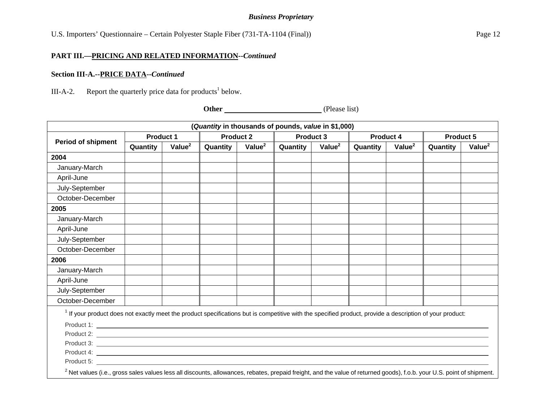U.S. Importers' Questionnaire – Certain Polyester Staple Fiber (731-TA-1104 (Final)) Page 12

#### **PART III.—PRICING AND RELATED INFORMATION--***Continued*

#### **Section III-A.--PRICE DATA--***Continued*

III-A-2. Report the quarterly price data for products<sup>1</sup> below.

**Other** (Please list)

| (Quantity in thousands of pounds, value in \$1,000)                                                                                                                               |                  |                    |                  |                    |           |           |           |                    |                  |                    |
|-----------------------------------------------------------------------------------------------------------------------------------------------------------------------------------|------------------|--------------------|------------------|--------------------|-----------|-----------|-----------|--------------------|------------------|--------------------|
| <b>Period of shipment</b>                                                                                                                                                         | <b>Product 1</b> |                    | <b>Product 2</b> |                    | Product 3 |           | Product 4 |                    | <b>Product 5</b> |                    |
|                                                                                                                                                                                   | Quantity         | Value <sup>2</sup> | Quantity         | Value <sup>2</sup> | Quantity  | Value $2$ | Quantity  | Value <sup>2</sup> | Quantity         | Value <sup>2</sup> |
| 2004                                                                                                                                                                              |                  |                    |                  |                    |           |           |           |                    |                  |                    |
| January-March                                                                                                                                                                     |                  |                    |                  |                    |           |           |           |                    |                  |                    |
| April-June                                                                                                                                                                        |                  |                    |                  |                    |           |           |           |                    |                  |                    |
| July-September                                                                                                                                                                    |                  |                    |                  |                    |           |           |           |                    |                  |                    |
| October-December                                                                                                                                                                  |                  |                    |                  |                    |           |           |           |                    |                  |                    |
| 2005                                                                                                                                                                              |                  |                    |                  |                    |           |           |           |                    |                  |                    |
| January-March                                                                                                                                                                     |                  |                    |                  |                    |           |           |           |                    |                  |                    |
| April-June                                                                                                                                                                        |                  |                    |                  |                    |           |           |           |                    |                  |                    |
| July-September                                                                                                                                                                    |                  |                    |                  |                    |           |           |           |                    |                  |                    |
| October-December                                                                                                                                                                  |                  |                    |                  |                    |           |           |           |                    |                  |                    |
| 2006                                                                                                                                                                              |                  |                    |                  |                    |           |           |           |                    |                  |                    |
| January-March                                                                                                                                                                     |                  |                    |                  |                    |           |           |           |                    |                  |                    |
| April-June                                                                                                                                                                        |                  |                    |                  |                    |           |           |           |                    |                  |                    |
| July-September                                                                                                                                                                    |                  |                    |                  |                    |           |           |           |                    |                  |                    |
| October-December                                                                                                                                                                  |                  |                    |                  |                    |           |           |           |                    |                  |                    |
| <sup>1</sup> If your product does not exactly meet the product specifications but is competitive with the specified product, provide a description of your product:               |                  |                    |                  |                    |           |           |           |                    |                  |                    |
|                                                                                                                                                                                   |                  |                    |                  |                    |           |           |           |                    |                  |                    |
|                                                                                                                                                                                   |                  |                    |                  |                    |           |           |           |                    |                  |                    |
|                                                                                                                                                                                   |                  |                    |                  |                    |           |           |           |                    |                  |                    |
|                                                                                                                                                                                   |                  |                    |                  |                    |           |           |           |                    |                  |                    |
|                                                                                                                                                                                   |                  |                    |                  |                    |           |           |           |                    |                  |                    |
| <sup>2</sup> Net values (i.e., gross sales values less all discounts, allowances, rebates, prepaid freight, and the value of returned goods), f.o.b. your U.S. point of shipment. |                  |                    |                  |                    |           |           |           |                    |                  |                    |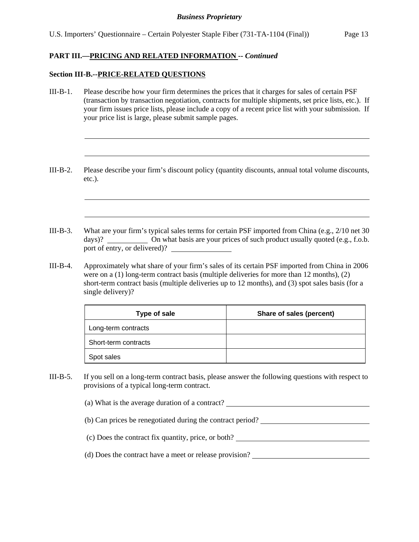## **PART III.—PRICING AND RELATED INFORMATION --** *Continued*

#### **Section III-B.--PRICE-RELATED QUESTIONS**

l

l

- III-B-1. Please describe how your firm determines the prices that it charges for sales of certain PSF (transaction by transaction negotiation, contracts for multiple shipments, set price lists, etc.). If your firm issues price lists, please include a copy of a recent price list with your submission. If your price list is large, please submit sample pages.
- III-B-2. Please describe your firm's discount policy (quantity discounts, annual total volume discounts, etc.).

- III-B-3. What are your firm's typical sales terms for certain PSF imported from China (e.g., 2/10 net 30 days)? On what basis are your prices of such product usually quoted (e.g., f.o.b. port of entry, or delivered)?
- III-B-4. Approximately what share of your firm's sales of its certain PSF imported from China in 2006 were on a (1) long-term contract basis (multiple deliveries for more than 12 months), (2) short-term contract basis (multiple deliveries up to 12 months), and (3) spot sales basis (for a single delivery)?

| <b>Type of sale</b>  | Share of sales (percent) |
|----------------------|--------------------------|
| Long-term contracts  |                          |
| Short-term contracts |                          |
| Spot sales           |                          |

- III-B-5. If you sell on a long-term contract basis, please answer the following questions with respect to provisions of a typical long-term contract.
	- (a) What is the average duration of a contract?
	- (b) Can prices be renegotiated during the contract period?
	- (c) Does the contract fix quantity, price, or both?
	- (d) Does the contract have a meet or release provision?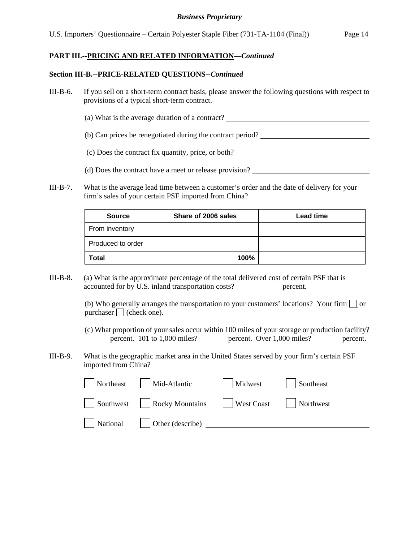## **PART III.--PRICING AND RELATED INFORMATION—***Continued*

#### **Section III-B.--PRICE-RELATED QUESTIONS--***Continued*

- III-B-6. If you sell on a short-term contract basis, please answer the following questions with respect to provisions of a typical short-term contract.
	- (a) What is the average duration of a contract?
	- (b) Can prices be renegotiated during the contract period?
	- (c) Does the contract fix quantity, price, or both?
	- (d) Does the contract have a meet or release provision?
- III-B-7. What is the average lead time between a customer's order and the date of delivery for your firm's sales of your certain PSF imported from China?

| <b>Source</b>     | Share of 2006 sales | <b>Lead time</b> |
|-------------------|---------------------|------------------|
| From inventory    |                     |                  |
| Produced to order |                     |                  |
| <b>Total</b>      | 100%                |                  |

III-B-8. (a) What is the approximate percentage of the total delivered cost of certain PSF that is accounted for by U.S. inland transportation costs? percent.

> (b) Who generally arranges the transportation to your customers' locations? Your firm  $\Box$  or purchaser  $\Box$  (check one).

(c) What proportion of your sales occur within 100 miles of your storage or production facility? percent. 101 to 1,000 miles? percent. Over 1,000 miles? percent.

III-B-9. What is the geographic market area in the United States served by your firm's certain PSF imported from China?

| Northeast | Mid-Atlantic            | Midwest            | Southeast |
|-----------|-------------------------|--------------------|-----------|
| Southwest | $\vert$ Rocky Mountains | $\vert$ West Coast | Northwest |
| National  | Other (describe)        |                    |           |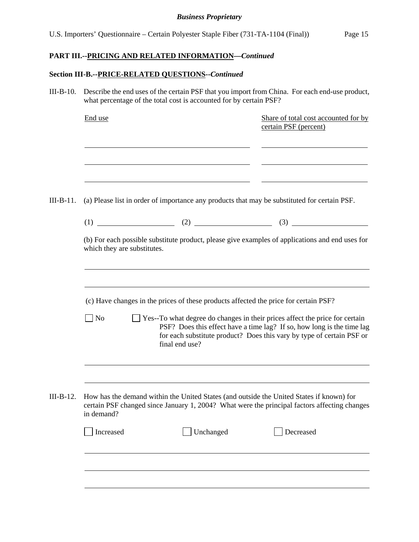## **PART III.--PRICING AND RELATED INFORMATION—***Continued*

## **Section III-B.--PRICE-RELATED QUESTIONS--***Continued*

III-B-10. Describe the end uses of the certain PSF that you import from China. For each end-use product, what percentage of the total cost is accounted for by certain PSF?

|           | End use                                       |                                                                                                        | Share of total cost accounted for by<br>certain PSF (percent)                                                                                                                                                                  |
|-----------|-----------------------------------------------|--------------------------------------------------------------------------------------------------------|--------------------------------------------------------------------------------------------------------------------------------------------------------------------------------------------------------------------------------|
| III-B-11. |                                               |                                                                                                        | (a) Please list in order of importance any products that may be substituted for certain PSF.                                                                                                                                   |
|           |                                               |                                                                                                        | (b) For each possible substitute product, please give examples of applications and end uses for                                                                                                                                |
|           | which they are substitutes.<br>N <sub>o</sub> | (c) Have changes in the prices of these products affected the price for certain PSF?<br>final end use? | Yes--To what degree do changes in their prices affect the price for certain<br>PSF? Does this effect have a time lag? If so, how long is the time lag<br>for each substitute product? Does this vary by type of certain PSF or |
| III-B-12. | in demand?<br>Increased                       | Unchanged                                                                                              | How has the demand within the United States (and outside the United States if known) for<br>certain PSF changed since January 1, 2004? What were the principal factors affecting changes<br>Decreased                          |
|           |                                               |                                                                                                        |                                                                                                                                                                                                                                |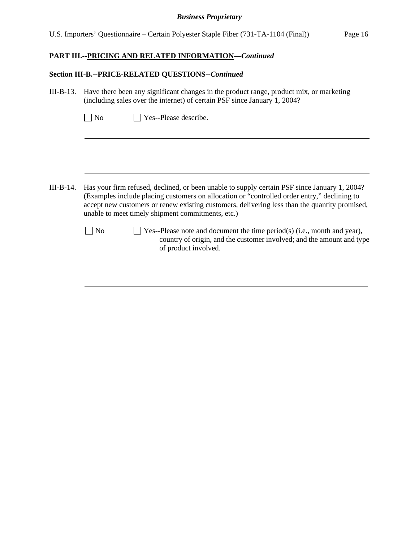# **PART III.--PRICING AND RELATED INFORMATION—***Continued*

## **Section III-B.--PRICE-RELATED QUESTIONS--***Continued*

| III-B-13. Have there been any significant changes in the product range, product mix, or marketing |
|---------------------------------------------------------------------------------------------------|
| (including sales over the internet) of certain PSF since January 1, 2004?                         |

| III-B-14. |    | Has your firm refused, declined, or been unable to supply certain PSF since January 1, 2004?<br>(Examples include placing customers on allocation or "controlled order entry," declining to<br>accept new customers or renew existing customers, delivering less than the quantity promised,<br>unable to meet timely shipment commitments, etc.) |
|-----------|----|---------------------------------------------------------------------------------------------------------------------------------------------------------------------------------------------------------------------------------------------------------------------------------------------------------------------------------------------------|
|           | No | Yes--Please note and document the time period(s) (i.e., month and year),<br>country of origin, and the customer involved; and the amount and type<br>of product involved.                                                                                                                                                                         |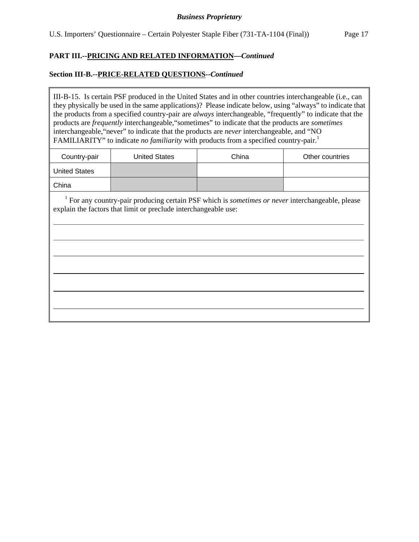## **PART III.--PRICING AND RELATED INFORMATION—***Continued*

### **Section III-B.--PRICE-RELATED QUESTIONS--***Continued*

 $\overline{a}$ 

III-B-15. Is certain PSF produced in the United States and in other countries interchangeable (i.e., can they physically be used in the same applications)? Please indicate below, using "always" to indicate that the products from a specified country-pair are *always* interchangeable, "frequently" to indicate that the products are *frequently* interchangeable,"sometimes" to indicate that the products are *sometimes* interchangeable,"never" to indicate that the products are *never* interchangeable, and "NO FAMILIARITY" to indicate *no familiarity* with products from a specified country-pair.<sup>1</sup>

| Country-pair         | <b>United States</b> | China | Other countries |
|----------------------|----------------------|-------|-----------------|
| <b>United States</b> |                      |       |                 |
| China                |                      |       |                 |

<sup>1</sup> For any country-pair producing certain PSF which is *sometimes or never* interchangeable, please explain the factors that limit or preclude interchangeable use: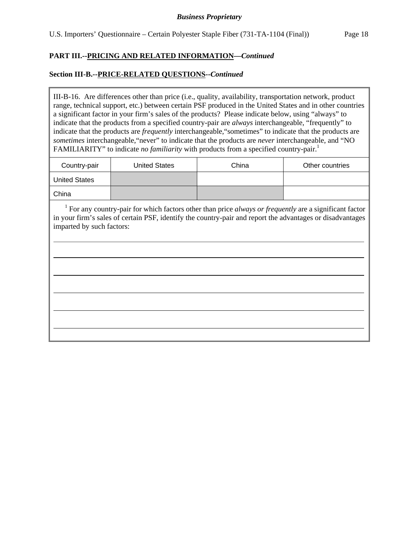## **PART III.--PRICING AND RELATED INFORMATION—***Continued*

### **Section III-B.--PRICE-RELATED QUESTIONS--***Continued*

 $\overline{a}$ 

III-B-16. Are differences other than price (i.e., quality, availability, transportation network, product range, technical support, etc.) between certain PSF produced in the United States and in other countries a significant factor in your firm's sales of the products? Please indicate below, using "always" to indicate that the products from a specified country-pair are *always* interchangeable, "frequently" to indicate that the products are *frequently* interchangeable,"sometimes" to indicate that the products are *sometimes* interchangeable,"never" to indicate that the products are *never* interchangeable, and "NO FAMILIARITY" to indicate *no familiarity* with products from a specified country-pair.<sup>1</sup>

| Country-pair         | <b>United States</b> | China | Other countries |
|----------------------|----------------------|-------|-----------------|
| <b>United States</b> |                      |       |                 |
| China                |                      |       |                 |

<sup>1</sup> For any country-pair for which factors other than price *always or frequently* are a significant factor in your firm's sales of certain PSF, identify the country-pair and report the advantages or disadvantages imparted by such factors: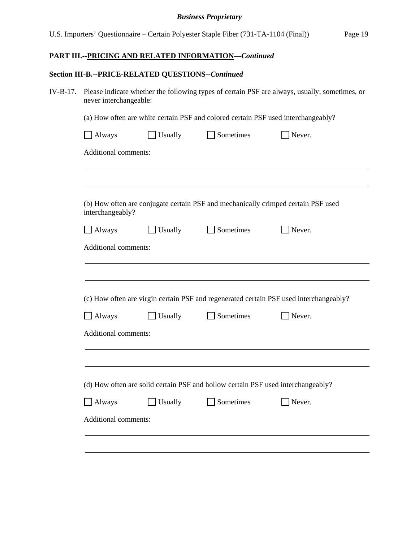# **PART III.--PRICING AND RELATED INFORMATION—***Continued*

## **Section III-B.--PRICE-RELATED QUESTIONS--***Continued*

| IV-B-17. Please indicate whether the following types of certain PSF are always, usually, sometimes, or |
|--------------------------------------------------------------------------------------------------------|
| never interchangeable:                                                                                 |

(a) How often are white certain PSF and colored certain PSF used interchangeably?

| interchangeably?     |         |                                                                                  | (b) How often are conjugate certain PSF and mechanically crimped certain PSF used      |
|----------------------|---------|----------------------------------------------------------------------------------|----------------------------------------------------------------------------------------|
| Always               | Usually | Sometimes                                                                        | Never.                                                                                 |
| Additional comments: |         |                                                                                  |                                                                                        |
| Always               | Usually | Sometimes                                                                        | Never.                                                                                 |
| Additional comments: |         |                                                                                  | (c) How often are virgin certain PSF and regenerated certain PSF used interchangeably? |
|                      |         | (d) How often are solid certain PSF and hollow certain PSF used interchangeably? |                                                                                        |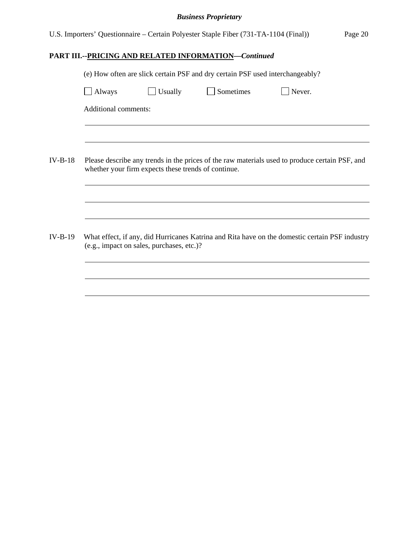| U.S. Importers' Questionnaire – Certain Polyester Staple Fiber (731-TA-1104 (Final)) |  |  |  | Page 20 |
|--------------------------------------------------------------------------------------|--|--|--|---------|
|                                                                                      |  |  |  |         |

# **PART III.--PRICING AND RELATED INFORMATION—***Continued*

|        |                      |                                                     | (e) How often are slick certain PSF and dry certain PSF used interchangeably?                  |        |  |
|--------|----------------------|-----------------------------------------------------|------------------------------------------------------------------------------------------------|--------|--|
| Always |                      | Usually                                             | Sometimes                                                                                      | Never. |  |
|        | Additional comments: |                                                     |                                                                                                |        |  |
|        |                      |                                                     |                                                                                                |        |  |
|        |                      | whether your firm expects these trends of continue. | Please describe any trends in the prices of the raw materials used to produce certain PSF, and |        |  |
|        |                      |                                                     |                                                                                                |        |  |
|        |                      | (e.g., impact on sales, purchases, etc.)?           | What effect, if any, did Hurricanes Katrina and Rita have on the domestic certain PSF industry |        |  |
|        |                      |                                                     |                                                                                                |        |  |
|        |                      |                                                     |                                                                                                |        |  |
|        |                      |                                                     |                                                                                                |        |  |